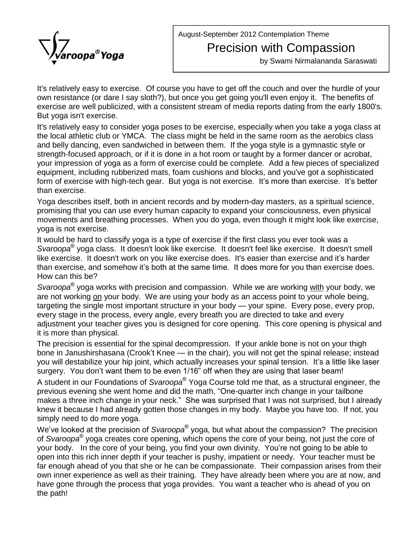August-September 2012 Contemplation Theme

## Precision with Compassion

by Swami Nirmalananda Saraswati

It's relatively easy to exercise. Of course you have to get off the couch and over the hurdle of your own resistance (or dare I say sloth?), but once you get going you'll even enjoy it. The benefits of exercise are well publicized, with a consistent stream of media reports dating from the early 1800's. But yoga isn't exercise.

It's relatively easy to consider yoga poses to be exercise, especially when you take a yoga class at the local athletic club or YMCA. The class might be held in the same room as the aerobics class and belly dancing, even sandwiched in between them. If the yoga style is a gymnastic style or strength-focused approach, or if it is done in a hot room or taught by a former dancer or acrobat, your impression of yoga as a form of exercise could be complete. Add a few pieces of specialized equipment, including rubberized mats, foam cushions and blocks, and you've got a sophisticated form of exercise with high-tech gear. But yoga is not exercise. It's more than exercise. It's better than exercise.

Yoga describes itself, both in ancient records and by modern-day masters, as a spiritual science, promising that you can use every human capacity to expand your consciousness, even physical movements and breathing processes. When you do yoga, even though it might look like exercise, yoga is not exercise.

It would be hard to classify yoga is a type of exercise if the first class you ever took was a Svaroopa "yoga class. It doesn't look like exercise. It doesn't feel like exercise. It doesn't smell It would be hard to classify yoga is a type of exercise if the first class you ever took was a<br>*Svaroopa*® yoga class. It doesn't look like exercise. It doesn't feel like exercise. It doesn't smell<br>like exercise. It doesn' Svaroopa<sup>®</sup> yoga class. It doesn't look like exercise. It doesn't feel like exercise. It doesn't smell<br>like exercise. It doesn't work on you like exercise does. It's easier than exercise and it's harder<br>than exercise, and How can this be? than exercise, and somehow it's both at the same time. It does more for you than exercise does.

S*varoopa*® yoga works with precision and compassion. While we are working <u>with</u> your body, we<br>are not working <u>on</u> your body. We are using your body as an access point to your whole being,<br>targeting the single most imp are not working on your body. We are using your body as an access point to your whole being, every stage in the process, every angle, every breath you are directed to take and every adjustment your teacher gives you is designed for core opening. This core opening is physical and it is more than physical.

The precision is essential for the spinal decompression. If your ankle bone is not on your thigh it is more than physical.<br>The precision is essential for the spinal decompression. If your ankle bone is not on your thigh<br>bone in Janushirshasana (Crook't Knee — in the chair), you will not get the spinal release; instea The precision is essential for the spinal decompression. If your ankle bone is not on your thigh<br>bone in Janushirshasana (Crook't Knee — in the chair), you will not get the spinal release; instead<br>you will destabilize your sure precedent to be commander the optical accompression in your anneal concrete to the spinal release; in<br>you will destabilize your hip joint, which actually increases your spinal tension. It's a little like<br>surgery. You Æ

A student in our Foundations of *Svaroopa*® Yoga Course told me that, as a structural engineer, the surgery. You don't want them to be even 1/16" off when they are using that laser beam!<br>A student in our Foundations of *Svaroopa*® Yoga Course told me that, as a structural engineer, the<br>previous evening she went home and A student in our Foundations of *Svaroopa*® Yoga Course told me that, as a structural engineer, the<br>previous evening she went home and did the math, "One-quarter inch change in your tailbone<br>makes a three inch change in yo knew it because I had already gotten those changes in my body. Maybe you have too. If not, you<br>simply need to do more yoga.<br>We've looked at the precision of *Svaroopa*® yoga, but what about the compassion? The precision simply need to do more yoga. Æ

We've looked at the precision of S*varoopa*® yoga, but what about the compassion? The precision<br>of S*varoopa*® yoga creates core opening, which opens the core of your being, not just the core of<br>your body. In the core of y of *Svaroopa*® yoga creates core opening, which opens the core of your being, not just the core of open into this rich inner depth if your teacher is pushy, impatient or needy. Your teacher must be far enough ahead of you that she or he can be compassionate. Their compassion arises from their own inner experience as well as their training. They have already been where you are at now, and have gone through the process that yoga provides. You want a teacher who is ahead of you on the path!